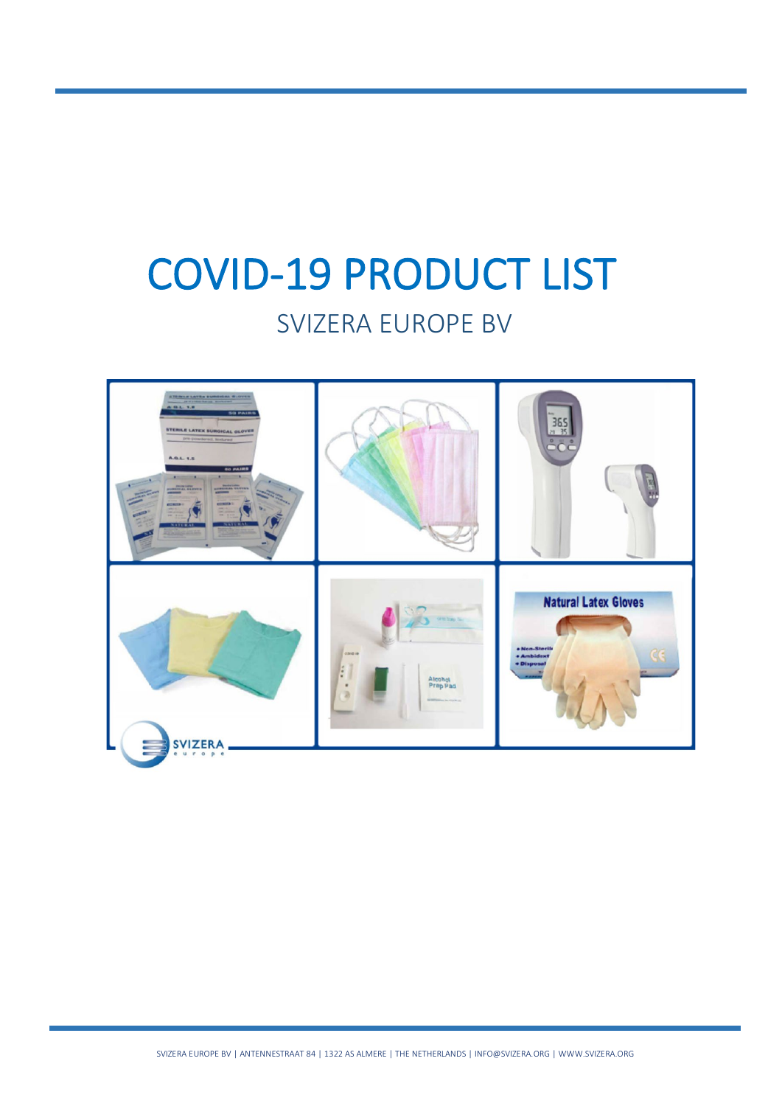# COVID-19 PRODUCT LIST

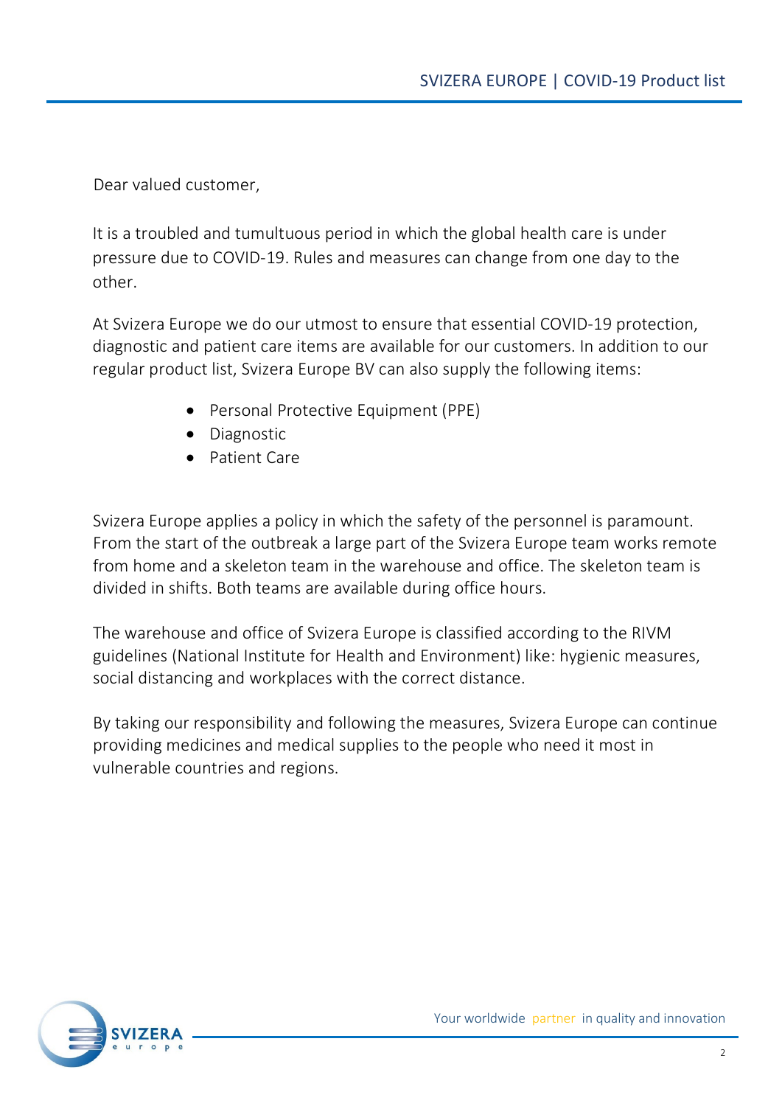Dear valued customer,

It is a troubled and tumultuous period in which the global health care is under pressure due to COVID-19. Rules and measures can change from one day to the other.

At Svizera Europe we do our utmost to ensure that essential COVID-19 protection, diagnostic and patient care items are available for our customers. In addition to our regular product list, Svizera Europe BV can also supply the following items:

- Personal Protective Equipment (PPE)
- Diagnostic
- Patient Care

Svizera Europe applies a policy in which the safety of the personnel is paramount. From the start of the outbreak a large part of the Svizera Europe team works remote from home and a skeleton team in the warehouse and office. The skeleton team is divided in shifts. Both teams are available during office hours.

The warehouse and office of Svizera Europe is classified according to the RIVM guidelines (National Institute for Health and Environment) like: hygienic measures, social distancing and workplaces with the correct distance.

By taking our responsibility and following the measures, Svizera Europe can continue providing medicines and medical supplies to the people who need it most in vulnerable countries and regions.

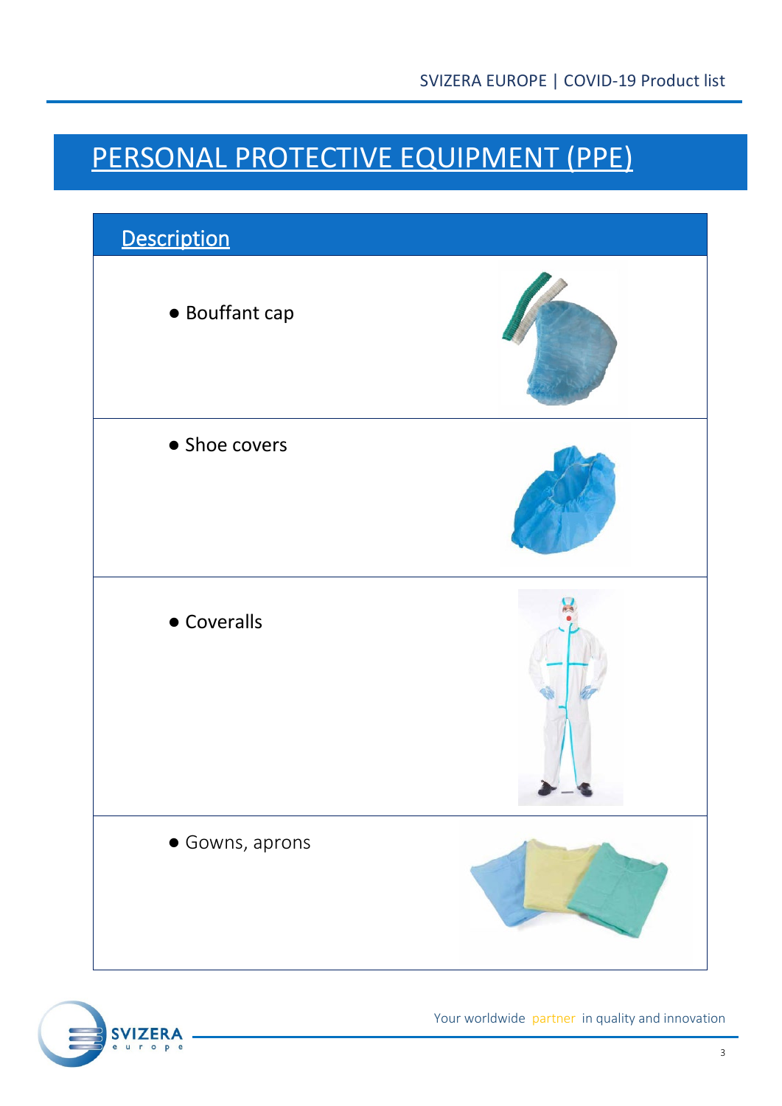#### PERSONAL PROTECTIVE EQUIPMENT (PPE)



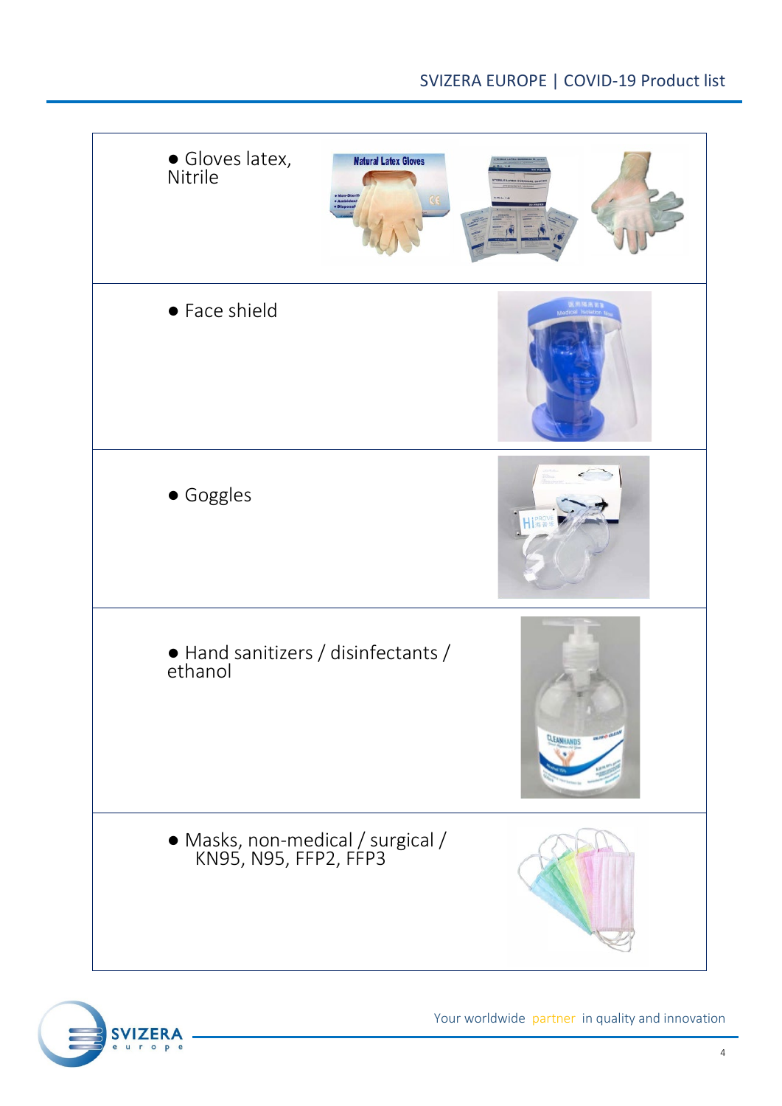

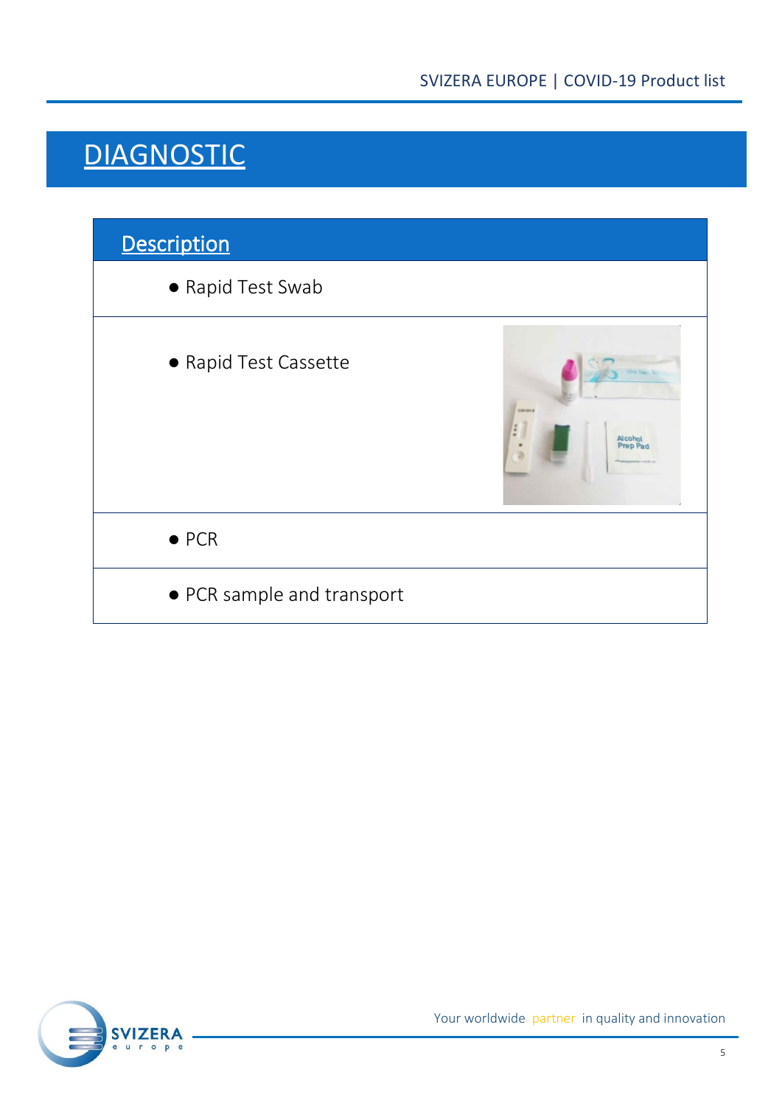#### **DIAGNOSTIC**



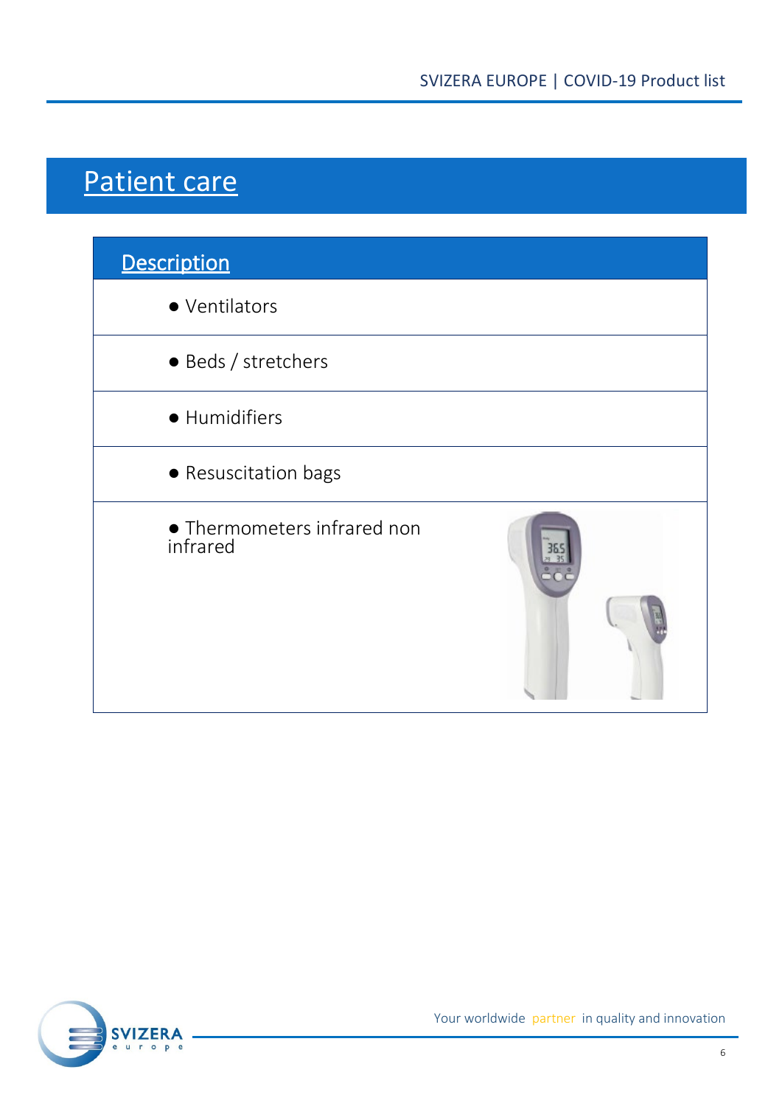### Patient care

| <b>Description</b>                      |  |
|-----------------------------------------|--|
| • Ventilators                           |  |
| · Beds / stretchers                     |  |
| · Humidifiers                           |  |
| • Resuscitation bags                    |  |
| • Thermometers infrared non<br>infrared |  |